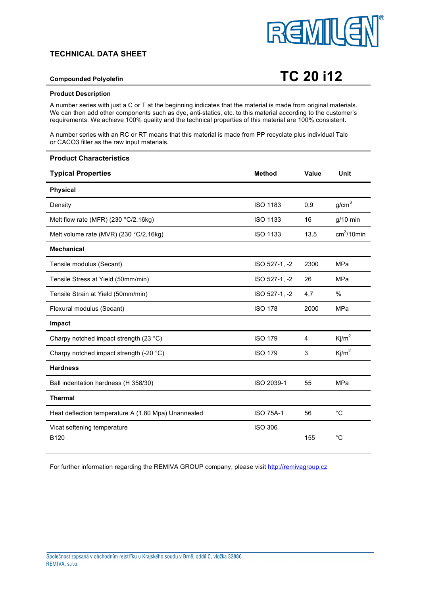# **TECHNICAL DATA SHEET**



# **Compounded Polyolefin TC 20 i12**

### **Product Description**

A number series with just a C or T at the beginning indicates that the material is made from original materials. We can then add other components such as dye, anti-statics, etc. to this material according to the customer's requirements. We achieve 100% quality and the technical properties of this material are 100% consistent.

A number series with an RC or RT means that this material is made from PP recyclate plus individual Talc or CACO3 filler as the raw input materials.

| <b>Product Characteristics</b>                      |                  |       |                   |
|-----------------------------------------------------|------------------|-------|-------------------|
| <b>Typical Properties</b>                           | <b>Method</b>    | Value | Unit              |
| <b>Physical</b>                                     |                  |       |                   |
| Density                                             | <b>ISO 1183</b>  | 0,9   | g/cm <sup>3</sup> |
| Melt flow rate (MFR) (230 °C/2,16kg)                | <b>ISO 1133</b>  | 16    | $g/10$ min        |
| Melt volume rate (MVR) (230 °C/2,16kg)              | <b>ISO 1133</b>  | 13.5  | $cm3/10$ min      |
| <b>Mechanical</b>                                   |                  |       |                   |
| Tensile modulus (Secant)                            | ISO 527-1, -2    | 2300  | MPa               |
| Tensile Stress at Yield (50mm/min)                  | ISO 527-1, -2    | 26    | MPa               |
| Tensile Strain at Yield (50mm/min)                  | ISO 527-1, -2    | 4,7   | $\%$              |
| Flexural modulus (Secant)                           | <b>ISO 178</b>   | 2000  | MPa               |
| Impact                                              |                  |       |                   |
| Charpy notched impact strength (23 °C)              | <b>ISO 179</b>   | 4     | Kj/m <sup>2</sup> |
| Charpy notched impact strength (-20 °C)             | <b>ISO 179</b>   | 3     | Ki/m <sup>2</sup> |
| <b>Hardness</b>                                     |                  |       |                   |
| Ball indentation hardness (H 358/30)                | ISO 2039-1       | 55    | MPa               |
| <b>Thermal</b>                                      |                  |       |                   |
| Heat deflection temperature A (1.80 Mpa) Unannealed | <b>ISO 75A-1</b> | 56    | $^{\circ}C$       |
| Vicat softening temperature<br>B <sub>120</sub>     | <b>ISO 306</b>   | 155   | $^{\circ}C$       |

For further information regarding the REMIVA GROUP company, please visit http://remivagroup.cz